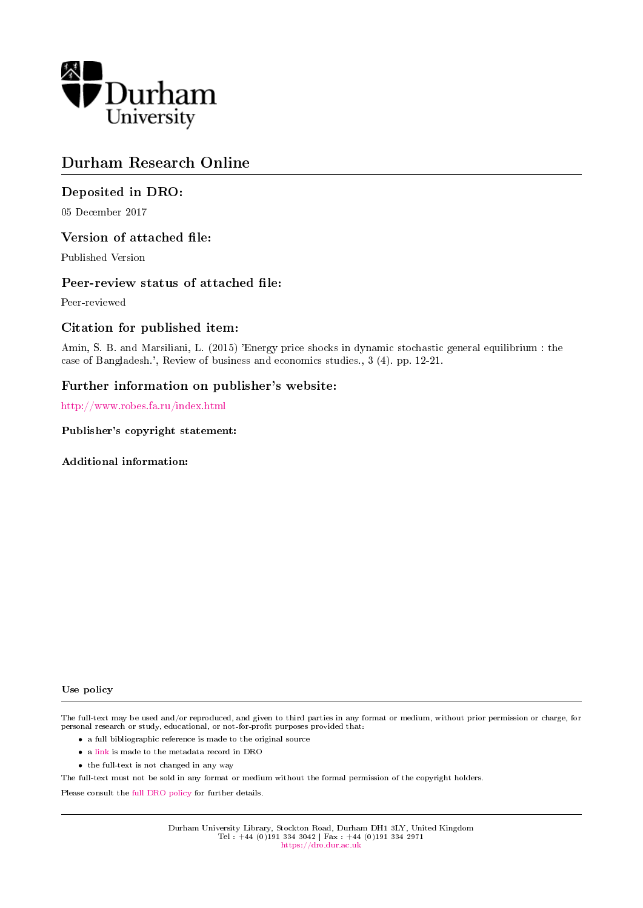

# Durham Research Online

### Deposited in DRO:

05 December 2017

#### Version of attached file:

Published Version

#### Peer-review status of attached file:

Peer-reviewed

#### Citation for published item:

Amin, S. B. and Marsiliani, L. (2015) 'Energy price shocks in dynamic stochastic general equilibrium : the case of Bangladesh.', Review of business and economics studies., 3 (4). pp. 12-21.

#### Further information on publisher's website:

<http://www.robes.fa.ru/index.html>

Publisher's copyright statement:

Additional information:

#### Use policy

The full-text may be used and/or reproduced, and given to third parties in any format or medium, without prior permission or charge, for personal research or study, educational, or not-for-profit purposes provided that:

- a full bibliographic reference is made to the original source
- a [link](http://dro.dur.ac.uk/17007/) is made to the metadata record in DRO
- the full-text is not changed in any way

The full-text must not be sold in any format or medium without the formal permission of the copyright holders.

Please consult the [full DRO policy](https://dro.dur.ac.uk/policies/usepolicy.pdf) for further details.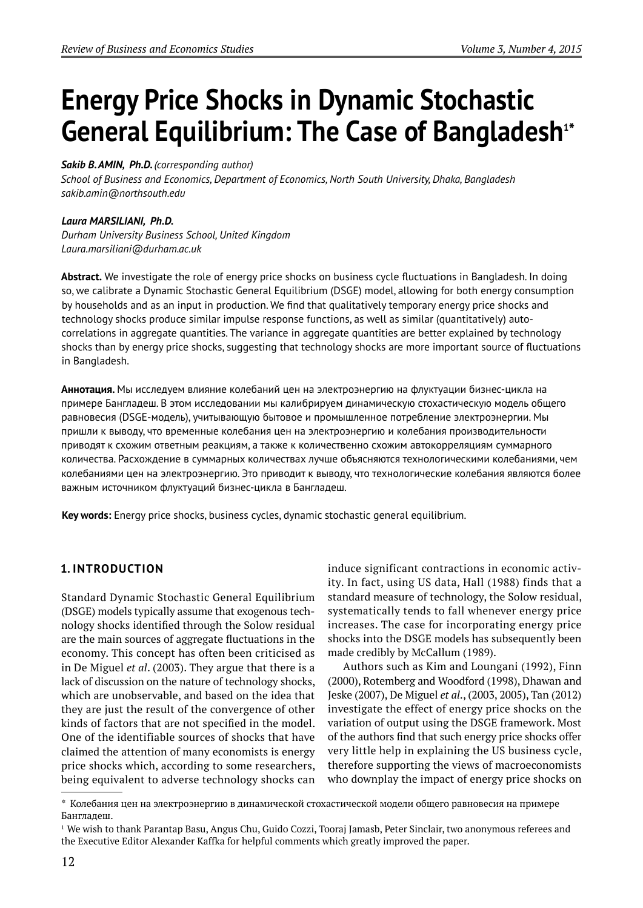# **Energy Price Shocks in Dynamic Stochastic**  General Equilibrium: The Case of Bangladesh<sup>1\*</sup>

### *Sakib B. AMIN, Ph.D. (corresponding author)*

*School of Business and Economics, Department of Economics, North South University, Dhaka, Bangladesh sakib.amin@northsouth.edu*

### *Laura MARSILIANI, Ph.D.*

*Durham University Business School, United Kingdom Laura.marsiliani@durham.ac.uk*

Abstract. We investigate the role of energy price shocks on business cycle fluctuations in Bangladesh. In doing so, we calibrate a Dynamic Stochastic General Equilibrium (DSGE) model, allowing for both energy consumption by households and as an input in production. We find that qualitatively temporary energy price shocks and technology shocks produce similar impulse response functions, as well as similar (quantitatively) autocorrelations in aggregate quantities. The variance in aggregate quantities are better explained by technology shocks than by energy price shocks, suggesting that technology shocks are more important source of fluctuations in Bangladesh.

**Аннотация.** Мы исследуем влияние колебаний цен на электроэнергию на флуктуации бизнес-цикла на примере Бангладеш. В этом исследовании мы калибрируем динамическую стохастическую модель общего равновесия (DSGE-модель), учитывающую бытовое и промышленное потребление электроэнергии. Мы пришли к выводу, что временные колебания цен на электроэнергию и колебания производительности приводят к схожим ответным реакциям, а также к количественно схожим автокорреляциям суммарного количества. Расхождение в суммарных количествах лучше объясняются технологическими колебаниями, чем колебаниями цен на электроэнергию. Это приводит к выводу, что технологические колебания являются более важным источником флуктуаций бизнес-цикла в Бангладеш.

**Key words:** Energy price shocks, business cycles, dynamic stochastic general equilibrium.

## **1. INTRODUCTION**

Standard Dynamic Stochastic General Equilibrium (DSGE) models typically assume that exogenous technology shocks identified through the Solow residual are the main sources of aggregate fluctuations in the economy. This concept has often been criticised as in De Miguel *et al*. (2003). They argue that there is a lack of discussion on the nature of technology shocks, which are unobservable, and based on the idea that they are just the result of the convergence of other kinds of factors that are not specified in the model. One of the identifiable sources of shocks that have claimed the attention of many economists is energy price shocks which, according to some researchers, being equivalent to adverse technology shocks can

induce significant contractions in economic activity. In fact, using US data, Hall (1988) finds that a standard measure of technology, the Solow residual, systematically tends to fall whenever energy price increases. The case for incorporating energy price shocks into the DSGE models has subsequently been made credibly by McCallum (1989).

Authors such as Kim and Loungani (1992), Finn (2000), Rotemberg and Woodford (1998), Dhawan and Jeske (2007), De Miguel *et al*., (2003, 2005), Tan (2012) investigate the effect of energy price shocks on the variation of output using the DSGE framework. Most of the authors find that such energy price shocks offer very little help in explaining the US business cycle, therefore supporting the views of macroeconomists who downplay the impact of energy price shocks on

<sup>\*</sup> Колебания цен на электроэнергию в динамической стохастической модели общего равновесия на примере Бангладеш.

<sup>&</sup>lt;sup>1</sup> We wish to thank Parantap Basu, Angus Chu, Guido Cozzi, Tooraj Jamasb, Peter Sinclair, two anonymous referees and the Executive Editor Alexander Kaffka for helpful comments which greatly improved the paper.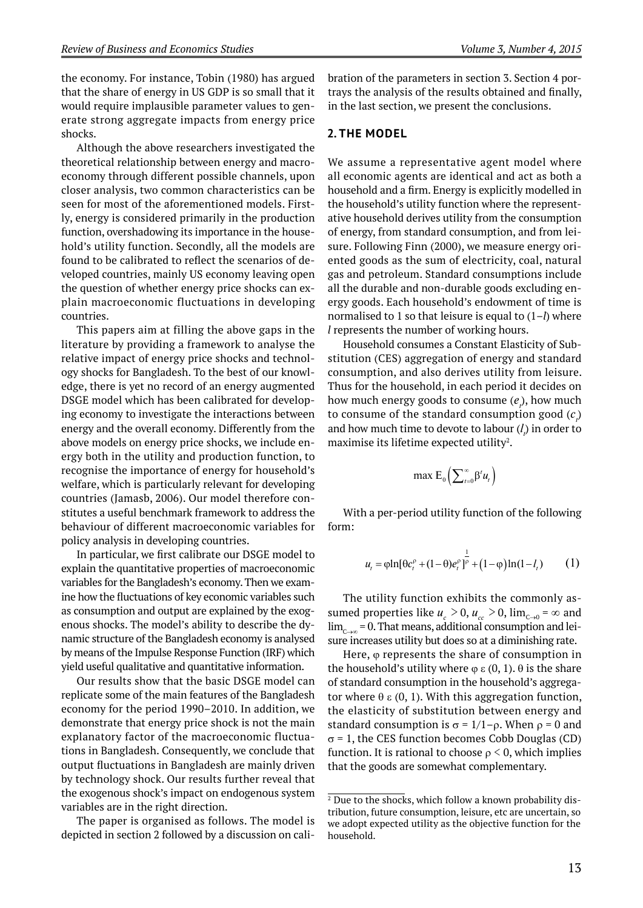the economy. For instance, Tobin (1980) has argued that the share of energy in US GDP is so small that it would require implausible parameter values to generate strong aggregate impacts from energy price shocks.

Although the above researchers investigated the theoretical relationship between energy and macroeconomy through different possible channels, upon closer analysis, two common characteristics can be seen for most of the aforementioned models. Firstly, energy is considered primarily in the production function, overshadowing its importance in the household's utility function. Secondly, all the models are found to be calibrated to reflect the scenarios of developed countries, mainly US economy leaving open the question of whether energy price shocks can explain macroeconomic fluctuations in developing countries.

This papers aim at filling the above gaps in the literature by providing a framework to analyse the relative impact of energy price shocks and technology shocks for Bangladesh. To the best of our knowledge, there is yet no record of an energy augmented DSGE model which has been calibrated for developing economy to investigate the interactions between energy and the overall economy. Differently from the above models on energy price shocks, we include energy both in the utility and production function, to recognise the importance of energy for household's welfare, which is particularly relevant for developing countries (Jamasb, 2006). Our model therefore constitutes a useful benchmark framework to address the behaviour of different macroeconomic variables for policy analysis in developing countries.

In particular, we first calibrate our DSGE model to explain the quantitative properties of macroeconomic variables for the Bangladesh's economy. Then we examine how the fluctuations of key economic variables such as consumption and output are explained by the exogenous shocks. The model's ability to describe the dynamic structure of the Bangladesh economy is analysed by means of the Impulse Response Function (IRF) which yield useful qualitative and quantitative information.

Our results show that the basic DSGE model can replicate some of the main features of the Bangladesh economy for the period 1990–2010. In addition, we demonstrate that energy price shock is not the main explanatory factor of the macroeconomic fluctuations in Bangladesh. Consequently, we conclude that output fluctuations in Bangladesh are mainly driven by technology shock. Our results further reveal that the exogenous shock's impact on endogenous system variables are in the right direction.

The paper is organised as follows. The model is depicted in section 2 followed by a discussion on calibration of the parameters in section 3. Section 4 portrays the analysis of the results obtained and finally, in the last section, we present the conclusions.

#### **2. THE MODEL**

We assume a representative agent model where all economic agents are identical and act as both a household and a firm. Energy is explicitly modelled in the household's utility function where the representative household derives utility from the consumption of energy, from standard consumption, and from leisure. Following Finn (2000), we measure energy oriented goods as the sum of electricity, coal, natural gas and petroleum. Standard consumptions include all the durable and non-durable goods excluding energy goods. Each household's endowment of time is normalised to 1 so that leisure is equal to (1–*l*) where *l* represents the number of working hours.

Household consumes a Constant Elasticity of Substitution (CES) aggregation of energy and standard consumption, and also derives utility from leisure. Thus for the household, in each period it decides on how much energy goods to consume  $(e_i)$ , how much to consume of the standard consumption good  $(c_i)$ and how much time to devote to labour (*l t* ) in order to maximise its lifetime expected utility $^{\scriptscriptstyle 2}$ .

$$
\max \mathsf{E}_0\left(\sum\nolimits_{t=0}^\infty \beta^t u_t\right)
$$

With a per-period utility function of the following form:

$$
u_{t} = \varphi \ln[\theta c_{t}^{\rho} + (1-\theta)e_{t}^{\rho}]^{\frac{1}{\rho}} + (1-\varphi)\ln(1-l_{t})
$$
 (1)

The utility function exhibits the commonly assumed properties like  $u_c > 0$ ,  $u_{cc} > 0$ ,  $\lim_{c \to 0} = \infty$  and  $\lim_{c\rightarrow\infty}$  = 0. That means, additional consumption and leisure increases utility but does so at a diminishing rate.

Here,  $\varphi$  represents the share of consumption in the household's utility where  $\varphi \varepsilon$  (0, 1).  $\theta$  is the share of standard consumption in the household's aggregator where  $\theta \varepsilon$  (0, 1). With this aggregation function, the elasticity of substitution between energy and standard consumption is  $\sigma = 1/1-\rho$ . When  $\rho = 0$  and  $\sigma$  = 1, the CES function becomes Cobb Douglas (CD) function. It is rational to choose  $\rho \leq 0$ , which implies that the goods are somewhat complementary.

<sup>&</sup>lt;sup>2</sup> Due to the shocks, which follow a known probability distribution, future consumption, leisure, etc are uncertain, so we adopt expected utility as the objective function for the household.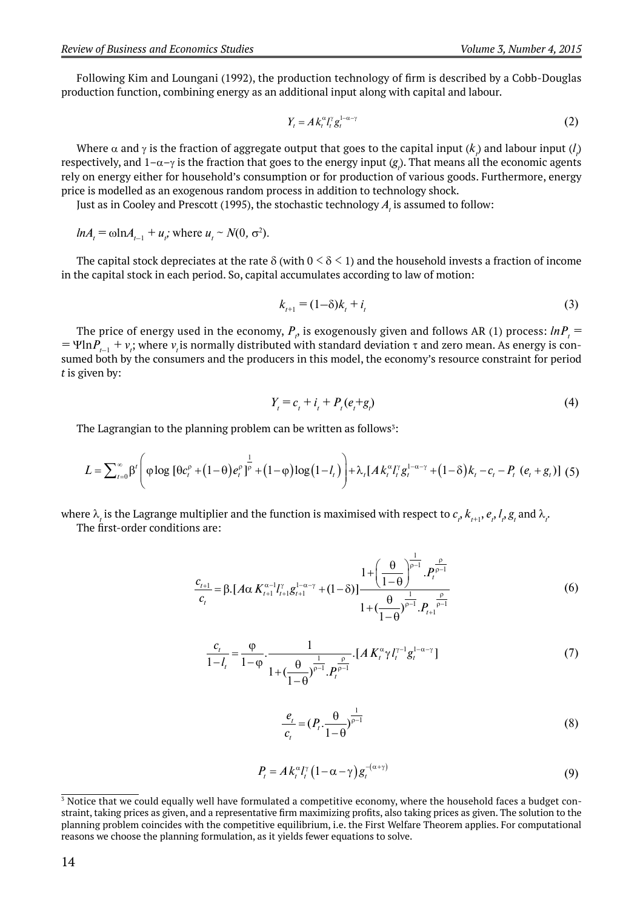Following Kim and Loungani (1992), the production technology of firm is described by a Cobb-Douglas production function, combining energy as an additional input along with capital and labour.

$$
Y_t = Ak_t^{\alpha} I_t^{\gamma} g_t^{1-\alpha-\gamma} \tag{2}
$$

Where  $\alpha$  and  $\gamma$  is the fraction of aggregate output that goes to the capital input ( $k_{_{l}}$ ) and labour input ( $l_{_{l}}$ ) respectively, and  $1-\alpha-\gamma$  is the fraction that goes to the energy input  $(g_{\rho}).$  That means all the economic agents rely on energy either for household's consumption or for production of various goods. Furthermore, energy price is modelled as an exogenous random process in addition to technology shock.

Just as in Cooley and Prescott (1995), the stochastic technology  $A_{\scriptscriptstyle I}$  is assumed to follow:

 $ln A_t = \omega ln A_{t-1} + u_t$ ; where  $u_t \sim N(0, \sigma^2)$ .

The capital stock depreciates at the rate  $\delta$  (with  $0 \le \delta \le 1$ ) and the household invests a fraction of income in the capital stock in each period. So, capital accumulates according to law of motion:

$$
k_{t+1} = (1 - \delta)k_t + i_t
$$
 (3)

The price of energy used in the economy,  $P_{_{t'}}$  is exogenously given and follows AR (1) process:  $ln P_{_{t}}=$  $= \Psi \ln P_{t-1} + v_t$ ; where  $v_t$  is normally distributed with standard deviation  $\tau$  and zero mean. As energy is consumed both by the consumers and the producers in this model, the economy's resource constraint for period *t* is given by:

$$
Y_t = c_t + i_t + P_t(e_t + g_t)
$$
\n(4)

The Lagrangian to the planning problem can be written as follows<sup>3</sup>:

$$
L = \sum_{t=0}^{\infty} \beta' \left( \varphi \log \left[ \theta c_t^{\rho} + (1-\theta) e_t^{\rho} \right]^{1/2} + (1-\varphi) \log(1-l_t) \right) + \lambda_t [A k_t^{\alpha} l_t^{\gamma} g_t^{1-\alpha-\gamma} + (1-\delta) k_t - c_t - P_t (e_t + g_t)] \tag{5}
$$

where  $\lambda_i$  is the Lagrange multiplier and the function is maximised with respect to  $c_j$   $k_{_{f+1}},$   $e_r$   $l_p$   $g_i$  and  $\lambda_i$ The first-order conditions are:

$$
\frac{c_{t+1}}{c_{t}} = \beta \cdot [A \alpha K_{t+1}^{\alpha-1} I_{t+1}^{\gamma} g_{t+1}^{1-\alpha-\gamma} + (1-\delta)] \frac{1 + \left(\frac{\theta}{1-\theta}\right)^{\frac{1}{\rho-1}} P_{t}^{\frac{\rho}{\rho-1}}}{1 + \left(\frac{\theta}{1-\theta}\right)^{\frac{1}{\rho-1}} P_{t+1}^{\frac{\rho}{\rho-1}}} \tag{6}
$$

$$
\frac{c_t}{1 - l_t} = \frac{\varphi}{1 - \varphi} \cdot \frac{1}{1 + \left(\frac{\theta}{1 - \theta}\right)^{\frac{1}{p - 1}} \cdot P_t^{\frac{\rho}{p - 1}}}
$$
 (7)

$$
\frac{e_i}{c_i} = (P_i \cdot \frac{\theta}{1-\theta})^{\frac{1}{p-1}}
$$
\n(8)

$$
P_t = Ak_t^{\alpha} I_t^{\gamma} \left(1 - \alpha - \gamma\right) g_t^{-(\alpha + \gamma)}
$$
\n(9)

 $\frac{3}{3}$  Notice that we could equally well have formulated a competitive economy, where the household faces a budget constraint, taking prices as given, and a representative firm maximizing profits, also taking prices as given. The solution to the planning problem coincides with the competitive equilibrium, i.e. the First Welfare Theorem applies. For computational reasons we choose the planning formulation, as it yields fewer equations to solve.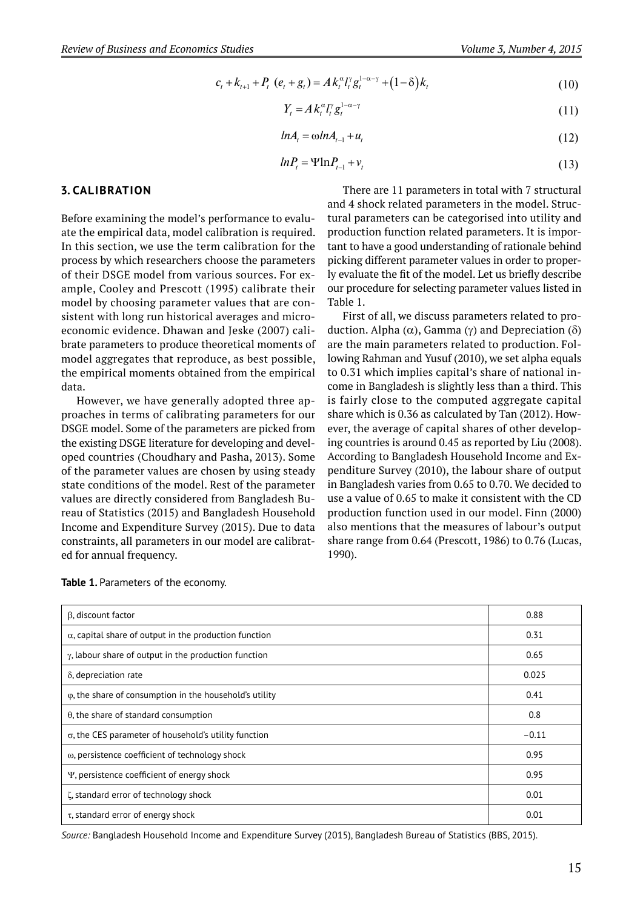$$
c_{t} + k_{t+1} + P_{t} (e_{t} + g_{t}) = Ak_{t}^{\alpha} I_{t}^{\gamma} g_{t}^{1-\alpha-\gamma} + (1-\delta)k_{t}
$$
\n(10)

$$
Y_t = A k_t^{\alpha} l_t^{\gamma} g_t^{1-\alpha-\gamma} \tag{11}
$$

$$
ln A_t = \omega ln A_{t-1} + u_t \tag{12}
$$

$$
ln P_t = \Psi \ln P_{t-1} + v_t \tag{13}
$$

#### **3. CALIBRATION**

Before examining the model's performance to evaluate the empirical data, model calibration is required. In this section, we use the term calibration for the process by which researchers choose the parameters of their DSGE model from various sources. For example, Cooley and Prescott (1995) calibrate their model by choosing parameter values that are consistent with long run historical averages and microeconomic evidence. Dhawan and Jeske (2007) calibrate parameters to produce theoretical moments of model aggregates that reproduce, as best possible, the empirical moments obtained from the empirical data.

However, we have generally adopted three approaches in terms of calibrating parameters for our DSGE model. Some of the parameters are picked from the existing DSGE literature for developing and developed countries (Choudhary and Pasha, 2013). Some of the parameter values are chosen by using steady state conditions of the model. Rest of the parameter values are directly considered from Bangladesh Bureau of Statistics (2015) and Bangladesh Household Income and Expenditure Survey (2015). Due to data constraints, all parameters in our model are calibrated for annual frequency.

There are 11 parameters in total with 7 structural and 4 shock related parameters in the model. Structural parameters can be categorised into utility and production function related parameters. It is important to have a good understanding of rationale behind picking different parameter values in order to properly evaluate the fit of the model. Let us briefly describe our procedure for selecting parameter values listed in Table 1.

First of all, we discuss parameters related to production. Alpha ( $\alpha$ ), Gamma ( $\gamma$ ) and Depreciation ( $\delta$ ) are the main parameters related to production. Following Rahman and Yusuf (2010), we set alpha equals to 0.31 which implies capital's share of national income in Bangladesh is slightly less than a third. This is fairly close to the computed aggregate capital share which is 0.36 as calculated by Tan (2012). However, the average of capital shares of other developing countries is around 0.45 as reported by Liu (2008). According to Bangladesh Household Income and Expenditure Survey (2010), the labour share of output in Bangladesh varies from 0.65 to 0.70. We decided to use a value of 0.65 to make it consistent with the CD production function used in our model. Finn (2000) also mentions that the measures of labour's output share range from 0.64 (Prescott, 1986) to 0.76 (Lucas, 1990).

| β, discount factor                                              | 0.88    |
|-----------------------------------------------------------------|---------|
| $\alpha$ , capital share of output in the production function   | 0.31    |
| $\gamma$ , labour share of output in the production function    | 0.65    |
| $\delta$ , depreciation rate                                    | 0.025   |
| $\varphi$ , the share of consumption in the household's utility | 0.41    |
| $\theta$ , the share of standard consumption                    | 0.8     |
| $\sigma$ , the CES parameter of household's utility function    | $-0.11$ |
| ω, persistence coefficient of technology shock                  | 0.95    |
| Y, persistence coefficient of energy shock                      | 0.95    |
| ζ, standard error of technology shock                           | 0.01    |
| $\tau$ , standard error of energy shock                         | 0.01    |

Table 1. Parameters of the economy.

*Source:* Bangladesh Household Income and Expenditure Survey (2015), Bangladesh Bureau of Statistics (BBS, 2015).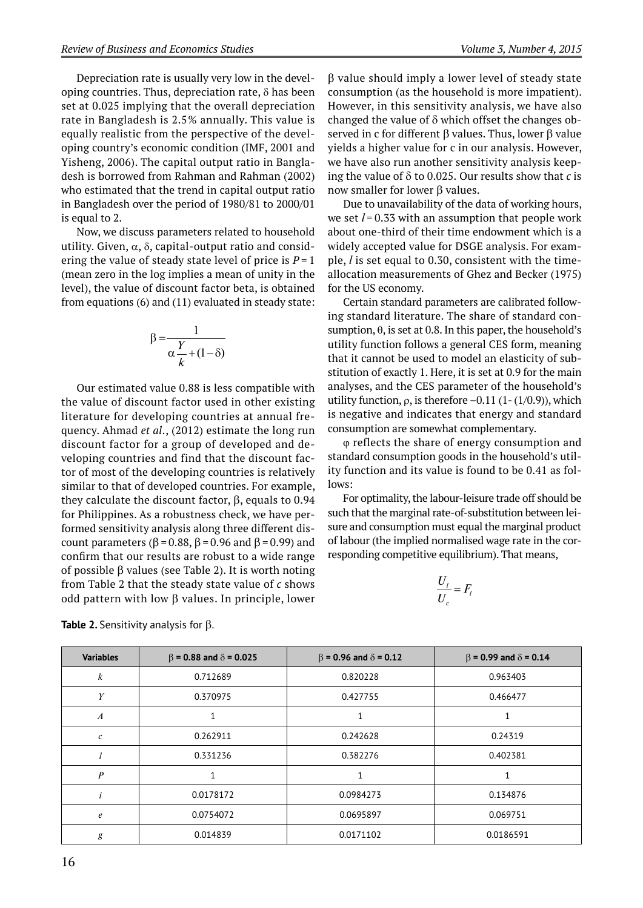Depreciation rate is usually very low in the developing countries. Thus, depreciation rate,  $\delta$  has been set at 0.025 implying that the overall depreciation rate in Bangladesh is 2.5 % annually. This value is equally realistic from the perspective of the developing country's economic condition (IMF, 2001 and Yisheng, 2006). The capital output ratio in Bangladesh is borrowed from Rahman and Rahman (2002) who estimated that the trend in capital output ratio in Bangladesh over the period of 1980/81 to 2000/01 is equal to 2.

Now, we discuss parameters related to household utility. Given,  $\alpha$ ,  $\delta$ , capital-output ratio and considering the value of steady state level of price is  $P = 1$ (mean zero in the log implies a mean of unity in the level), the value of discount factor beta, is obtained from equations (6) and (11) evaluated in steady state:

$$
\beta = \frac{1}{\alpha \frac{Y}{k} + (1 - \delta)}
$$

Our estimated value 0.88 is less compatible with the value of discount factor used in other existing literature for developing countries at annual frequency. Ahmad *et al*., (2012) estimate the long run discount factor for a group of developed and developing countries and find that the discount factor of most of the developing countries is relatively similar to that of developed countries. For example, they calculate the discount factor,  $\beta$ , equals to 0.94 for Philippines. As a robustness check, we have performed sensitivity analysis along three different discount parameters ( $\beta$  = 0.88,  $\beta$  = 0.96 and  $\beta$  = 0.99) and confirm that our results are robust to a wide range of possible  $\beta$  values (see Table 2). It is worth noting from Table 2 that the steady state value of *c* shows odd pattern with low  $\beta$  values. In principle, lower  $\beta$  value should imply a lower level of steady state consumption (as the household is more impatient). However, in this sensitivity analysis, we have also changed the value of  $\delta$  which offset the changes observed in c for different  $\beta$  values. Thus, lower  $\beta$  value yields a higher value for c in our analysis. However, we have also run another sensitivity analysis keeping the value of  $\delta$  to 0.025. Our results show that *c* is now smaller for lower  $\beta$  values.

Due to unavailability of the data of working hours, we set  $l = 0.33$  with an assumption that people work about one-third of their time endowment which is a widely accepted value for DSGE analysis. For example, *l* is set equal to 0.30, consistent with the timeallocation measurements of Ghez and Becker (1975) for the US economy.

Certain standard parameters are calibrated following standard literature. The share of standard consumption,  $\theta$ , is set at 0.8. In this paper, the household's utility function follows a general CES form, meaning that it cannot be used to model an elasticity of substitution of exactly 1. Here, it is set at 0.9 for the main analyses, and the CES parameter of the household's utility function,  $\rho$ , is therefore  $-0.11$  (1-(1/0.9)), which is negative and indicates that energy and standard consumption are somewhat complementary.

 reflects the share of energy consumption and standard consumption goods in the household's utility function and its value is found to be 0.41 as follows:

For optimality, the labour-leisure trade off should be such that the marginal rate-of-substitution between leisure and consumption must equal the marginal product of labour (the implied normalised wage rate in the corresponding competitive equilibrium). That means,

$$
\frac{U_l}{U_c} = F_l
$$

| <b>Variables</b>  | $\beta$ = 0.88 and $\delta$ = 0.025 | $\beta$ = 0.96 and $\delta$ = 0.12 | $\beta$ = 0.99 and $\delta$ = 0.14 |
|-------------------|-------------------------------------|------------------------------------|------------------------------------|
| $\boldsymbol{k}$  | 0.712689                            | 0.820228                           | 0.963403                           |
|                   | 0.370975                            | 0.427755                           | 0.466477                           |
| $\boldsymbol{A}$  |                                     |                                    |                                    |
| $\mathcal{C}_{0}$ | 0.262911                            | 0.242628                           | 0.24319                            |
|                   | 0.331236                            | 0.382276                           | 0.402381                           |
| $\boldsymbol{p}$  |                                     |                                    |                                    |
|                   | 0.0178172                           | 0.0984273                          | 0.134876                           |
| $\epsilon$        | 0.0754072                           | 0.0695897                          | 0.069751                           |
| g                 | 0.014839                            | 0.0171102                          | 0.0186591                          |

**Table 2.** Sensitivity analysis for  $\beta$ .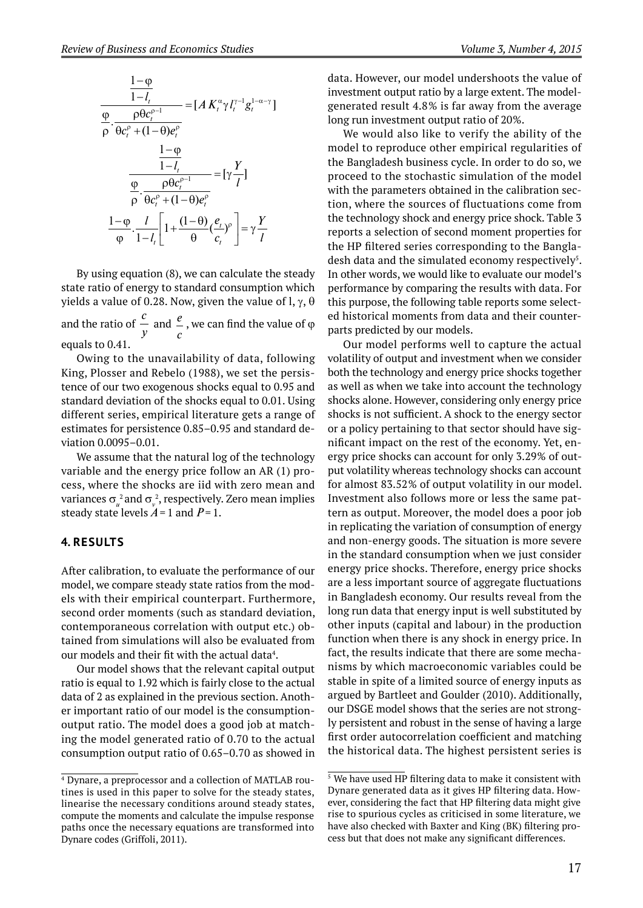

By using equation (8), we can calculate the steady state ratio of energy to standard consumption which yields a value of 0.28. Now, given the value of l,  $\gamma$ ,  $\theta$ and the ratio of *c y* and *<sup>e</sup> c* , we can find the value of  $\varphi$ equals to 0.41.

Owing to the unavailability of data, following King, Plosser and Rebelo (1988), we set the persistence of our two exogenous shocks equal to 0.95 and standard deviation of the shocks equal to 0.01. Using different series, empirical literature gets a range of estimates for persistence 0.85–0.95 and standard deviation 0.0095–0.01.

We assume that the natural log of the technology variable and the energy price follow an AR (1) process, where the shocks are iid with zero mean and variances  $\sigma_u^2$  and  $\sigma_v^2$ , respectively. Zero mean implies steady state levels  $A = 1$  and  $P = 1$ .

#### **4. RESULTS**

After calibration, to evaluate the performance of our model, we compare steady state ratios from the models with their empirical counterpart. Furthermore, second order moments (such as standard deviation, contemporaneous correlation with output etc.) obtained from simulations will also be evaluated from our models and their fit with the actual data $^{\rm 4}.$ 

Our model shows that the relevant capital output ratio is equal to 1.92 which is fairly close to the actual data of 2 as explained in the previous section. Another important ratio of our model is the consumptionoutput ratio. The model does a good job at matching the model generated ratio of 0.70 to the actual consumption output ratio of 0.65–0.70 as showed in data. However, our model undershoots the value of investment output ratio by a large extent. The modelgenerated result 4.8 % is far away from the average long run investment output ratio of 20%.

We would also like to verify the ability of the model to reproduce other empirical regularities of the Bangladesh business cycle. In order to do so, we proceed to the stochastic simulation of the model with the parameters obtained in the calibration section, where the sources of fluctuations come from the technology shock and energy price shock. Table 3 reports a selection of second moment properties for the HP filtered series corresponding to the Bangladesh data and the simulated economy respectively<sup>5</sup>. In other words, we would like to evaluate our model's performance by comparing the results with data. For this purpose, the following table reports some selected historical moments from data and their counterparts predicted by our models.

Our model performs well to capture the actual volatility of output and investment when we consider both the technology and energy price shocks together as well as when we take into account the technology shocks alone. However, considering only energy price shocks is not sufficient. A shock to the energy sector or a policy pertaining to that sector should have significant impact on the rest of the economy. Yet, energy price shocks can account for only 3.29% of output volatility whereas technology shocks can account for almost 83.52% of output volatility in our model. Investment also follows more or less the same pattern as output. Moreover, the model does a poor job in replicating the variation of consumption of energy and non-energy goods. The situation is more severe in the standard consumption when we just consider energy price shocks. Therefore, energy price shocks are a less important source of aggregate fluctuations in Bangladesh economy. Our results reveal from the long run data that energy input is well substituted by other inputs (capital and labour) in the production function when there is any shock in energy price. In fact, the results indicate that there are some mechanisms by which macroeconomic variables could be stable in spite of a limited source of energy inputs as argued by Bartleet and Goulder (2010). Additionally, our DSGE model shows that the series are not strongly persistent and robust in the sense of having a large first order autocorrelation coefficient and matching the historical data. The highest persistent series is

<sup>&</sup>lt;sup>4</sup> Dynare, a preprocessor and a collection of MATLAB routines is used in this paper to solve for the steady states, linearise the necessary conditions around steady states, compute the moments and calculate the impulse response paths once the necessary equations are transformed into Dynare codes (Griffoli, 2011).

 $5$  We have used HP filtering data to make it consistent with Dynare generated data as it gives HP filtering data. However, considering the fact that HP filtering data might give rise to spurious cycles as criticised in some literature, we have also checked with Baxter and King (BK) filtering process but that does not make any significant differences.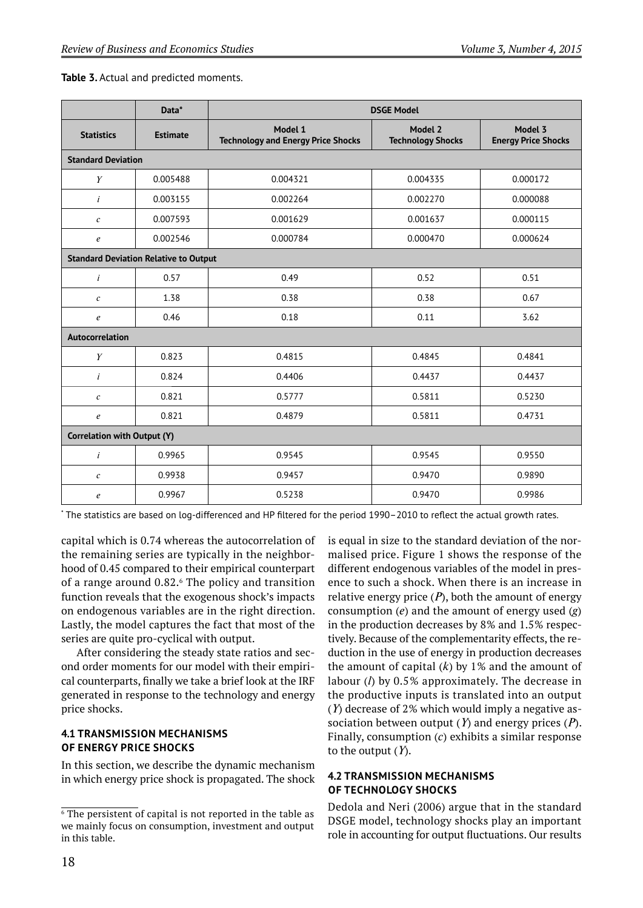|                                              | Data*           | <b>DSGE Model</b>                                    |                                     |                                       |  |  |  |
|----------------------------------------------|-----------------|------------------------------------------------------|-------------------------------------|---------------------------------------|--|--|--|
| <b>Statistics</b>                            | <b>Estimate</b> | Model 1<br><b>Technology and Energy Price Shocks</b> | Model 2<br><b>Technology Shocks</b> | Model 3<br><b>Energy Price Shocks</b> |  |  |  |
| <b>Standard Deviation</b>                    |                 |                                                      |                                     |                                       |  |  |  |
| Y                                            | 0.005488        | 0.004321                                             | 0.004335                            | 0.000172                              |  |  |  |
| $\dot{i}$                                    | 0.003155        | 0.002264                                             | 0.002270                            | 0.000088                              |  |  |  |
| $\boldsymbol{c}$                             | 0.007593        | 0.001629                                             | 0.001637                            | 0.000115                              |  |  |  |
| $\boldsymbol{e}$                             | 0.002546        | 0.000784                                             | 0.000470                            | 0.000624                              |  |  |  |
| <b>Standard Deviation Relative to Output</b> |                 |                                                      |                                     |                                       |  |  |  |
| $\dot{i}$                                    | 0.57            | 0.49                                                 | 0.52                                | 0.51                                  |  |  |  |
| $\boldsymbol{c}$                             | 1.38            | 0.38                                                 | 0.38                                | 0.67                                  |  |  |  |
| $\boldsymbol{e}$                             | 0.46            | 0.18                                                 | 0.11                                | 3.62                                  |  |  |  |
| Autocorrelation                              |                 |                                                      |                                     |                                       |  |  |  |
| Y                                            | 0.823           | 0.4815                                               | 0.4845                              | 0.4841                                |  |  |  |
| $\dot{i}$                                    | 0.824           | 0.4406                                               | 0.4437                              | 0.4437                                |  |  |  |
| $\mathcal{C}_{0}$                            | 0.821           | 0.5777                                               | 0.5811                              | 0.5230                                |  |  |  |
| $\boldsymbol{e}$                             | 0.821           | 0.4879                                               | 0.5811                              | 0.4731                                |  |  |  |
| Correlation with Output (Y)                  |                 |                                                      |                                     |                                       |  |  |  |
| $\dot{i}$                                    | 0.9965          | 0.9545                                               | 0.9545                              | 0.9550                                |  |  |  |
| $\boldsymbol{c}$                             | 0.9938          | 0.9457                                               | 0.9470                              | 0.9890                                |  |  |  |
| e                                            | 0.9967          | 0.5238                                               | 0.9470                              | 0.9986                                |  |  |  |

**Table 3.** Actual and predicted moments.

 $\cdot$  The statistics are based on log-differenced and HP filtered for the period 1990–2010 to reflect the actual growth rates.

capital which is 0.74 whereas the autocorrelation of the remaining series are typically in the neighborhood of 0.45 compared to their empirical counterpart of a range around 0.82.<sup>6</sup> The policy and transition function reveals that the exogenous shock's impacts on endogenous variables are in the right direction. Lastly, the model captures the fact that most of the series are quite pro-cyclical with output.

After considering the steady state ratios and second order moments for our model with their empirical counterparts, finally we take a brief look at the IRF generated in response to the technology and energy price shocks.

#### **4.1 TRANSMISSION MECHANISMS OF ENERGY PRICE SHOCKS**

In this section, we describe the dynamic mechanism in which energy price shock is propagated. The shock is equal in size to the standard deviation of the normalised price. Figure 1 shows the response of the different endogenous variables of the model in presence to such a shock. When there is an increase in relative energy price  $(P)$ , both the amount of energy consumption (*e*) and the amount of energy used (*g*) in the production decreases by 8% and 1.5% respectively. Because of the complementarity effects, the reduction in the use of energy in production decreases the amount of capital  $(k)$  by 1% and the amount of labour (*l*) by 0.5 % approximately. The decrease in the productive inputs is translated into an output (*Y*) decrease of 2% which would imply a negative association between output  $(Y)$  and energy prices  $(P)$ . Finally, consumption (*c*) exhibits a similar response to the output (*Y*).

#### **4.2 TRANSMISSION MECHANISMS OF TECHNOLOGY SHOCKS**

Dedola and Neri (2006) argue that in the standard DSGE model, technology shocks play an important role in accounting for output fluctuations. Our results

 $\overline{6}$  The persistent of capital is not reported in the table as we mainly focus on consumption, investment and output in this table.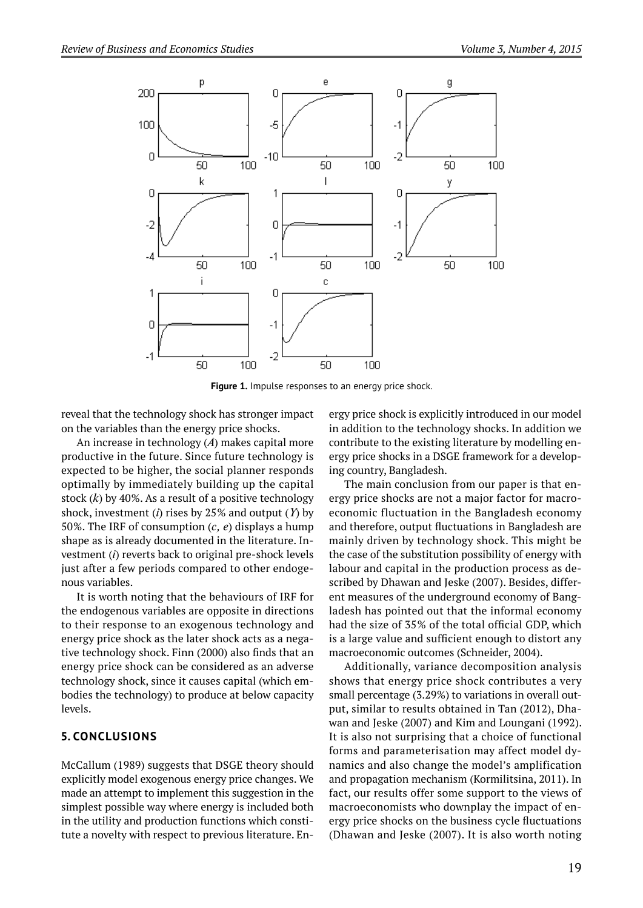

**Figure 1.** Impulse responses to an energy price shock.

reveal that the technology shock has stronger impact on the variables than the energy price shocks.

An increase in technology (*A*) makes capital more productive in the future. Since future technology is expected to be higher, the social planner responds optimally by immediately building up the capital stock  $(k)$  by 40%. As a result of a positive technology shock, investment (*i*) rises by 25% and output (*Y*) by 50%. The IRF of consumption  $(c, e)$  displays a hump shape as is already documented in the literature. Investment (*i*) reverts back to original pre-shock levels just after a few periods compared to other endogenous variables.

It is worth noting that the behaviours of IRF for the endogenous variables are opposite in directions to their response to an exogenous technology and energy price shock as the later shock acts as a negative technology shock. Finn (2000) also finds that an energy price shock can be considered as an adverse technology shock, since it causes capital (which embodies the technology) to produce at below capacity levels.

#### **5. CONCLUSIONS**

McCallum (1989) suggests that DSGE theory should explicitly model exogenous energy price changes. We made an attempt to implement this suggestion in the simplest possible way where energy is included both in the utility and production functions which constitute a novelty with respect to previous literature. Energy price shock is explicitly introduced in our model in addition to the technology shocks. In addition we contribute to the existing literature by modelling energy price shocks in a DSGE framework for a developing country, Bangladesh.

The main conclusion from our paper is that energy price shocks are not a major factor for macroeconomic fluctuation in the Bangladesh economy and therefore, output fluctuations in Bangladesh are mainly driven by technology shock. This might be the case of the substitution possibility of energy with labour and capital in the production process as described by Dhawan and Jeske (2007). Besides, different measures of the underground economy of Bangladesh has pointed out that the informal economy had the size of 35% of the total official GDP, which is a large value and sufficient enough to distort any macroeconomic outcomes (Schneider, 2004).

Additionally, variance decomposition analysis shows that energy price shock contributes a very small percentage (3.29%) to variations in overall output, similar to results obtained in Tan (2012), Dhawan and Jeske (2007) and Kim and Loungani (1992). It is also not surprising that a choice of functional forms and parameterisation may affect model dynamics and also change the model's amplification and propagation mechanism (Kormilitsina, 2011). In fact, our results offer some support to the views of macroeconomists who downplay the impact of energy price shocks on the business cycle fluctuations (Dhawan and Jeske (2007). It is also worth noting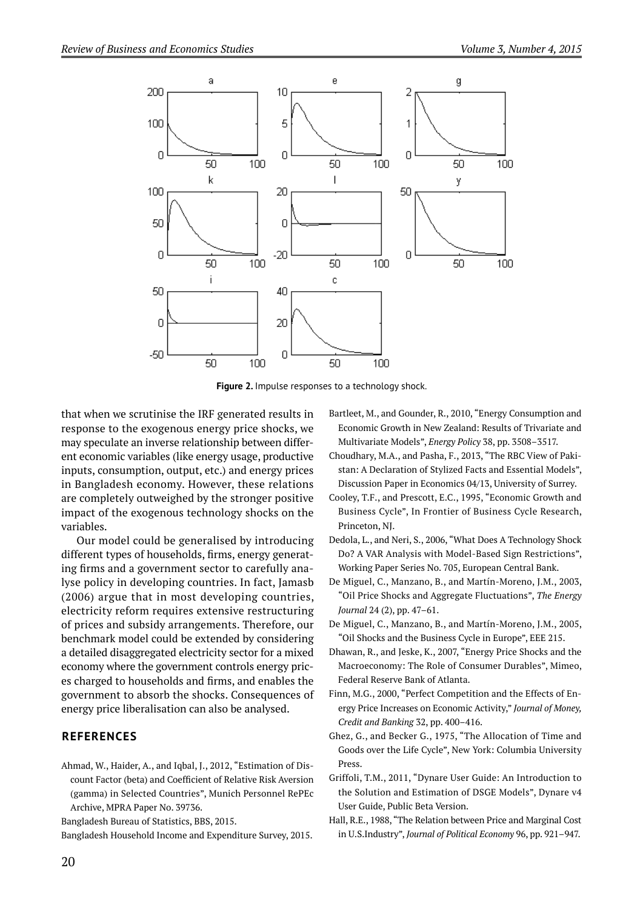

Figure 2. Impulse responses to a technology shock.

that when we scrutinise the IRF generated results in response to the exogenous energy price shocks, we may speculate an inverse relationship between different economic variables (like energy usage, productive inputs, consumption, output, etc.) and energy prices in Bangladesh economy. However, these relations are completely outweighed by the stronger positive impact of the exogenous technology shocks on the variables.

Our model could be generalised by introducing different types of households, firms, energy generating firms and a government sector to carefully analyse policy in developing countries. In fact, Jamasb (2006) argue that in most developing countries, electricity reform requires extensive restructuring of prices and subsidy arrangements. Therefore, our benchmark model could be extended by considering a detailed disaggregated electricity sector for a mixed economy where the government controls energy prices charged to households and firms, and enables the government to absorb the shocks. Consequences of energy price liberalisation can also be analysed.

#### **REFERENCES**

Ahmad, W., Haider, A., and Iqbal, J., 2012, "Estimation of Discount Factor (beta) and Coefficient of Relative Risk Aversion (gamma) in Selected Countries", Munich Personnel RePEc Archive, MPRA Paper No. 39736.

Bangladesh Bureau of Statistics, BBS, 2015.

Bangladesh Household Income and Expenditure Survey, 2015.

- Bartleet, M., and Gounder, R., 2010, "Energy Consumption and Economic Growth in New Zealand: Results of Trivariate and Multivariate Models", *Energy Policy* 38, pp. 3508–3517.
- Choudhary, M.A., and Pasha, F., 2013, "The RBC View of Pakistan: A Declaration of Stylized Facts and Essential Models", Discussion Paper in Economics 04/13, University of Surrey.
- Cooley, T.F., and Prescott, E.C., 1995, "Economic Growth and Business Cycle", In Frontier of Business Cycle Research, Princeton, NJ.
- Dedola, L., and Neri, S., 2006, "What Does A Technology Shock Do? A VAR Analysis with Model-Based Sign Restrictions", Working Paper Series No. 705, European Central Bank.
- De Miguel, C., Manzano, B., and Martín-Moreno, J.M., 2003, "Oil Price Shocks and Aggregate Fluctuations", *The Energy Journal* 24 (2), pp. 47–61.
- De Miguel, C., Manzano, B., and Martín-Moreno, J.M., 2005, "Oil Shocks and the Business Cycle in Europe", EEE 215.
- Dhawan, R., and Jeske, K., 2007, "Energy Price Shocks and the Macroeconomy: The Role of Consumer Durables", Mimeo, Federal Reserve Bank of Atlanta.
- Finn, M.G., 2000, "Perfect Competition and the Effects of Energy Price Increases on Economic Activity," *Journal of Money, Credit and Banking* 32, pp. 400–416.
- Ghez, G., and Becker G., 1975, "The Allocation of Time and Goods over the Life Cycle", New York: Columbia University Press.
- Griffoli, T.M., 2011, "Dynare User Guide: An Introduction to the Solution and Estimation of DSGE Models", Dynare v4 User Guide, Public Beta Version.
- Hall, R.E., 1988, "The Relation between Price and Marginal Cost in U. S.Industry", *Journal of Political Economy* 96, pp. 921–947.